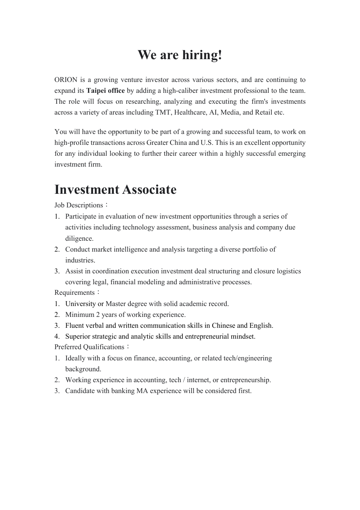## **We are hiring!**

ORION is a growing venture investor across various sectors, and are continuing to expand its **Taipei office** by adding a high-caliber investment professional to the team. The role will focus on researching, analyzing and executing the firm's investments across a variety of areas including TMT, Healthcare, AI, Media, and Retail etc.

You will have the opportunity to be part of a growing and successful team, to work on high-profile transactions across Greater China and U.S. This is an excellent opportunity for any individual looking to further their career within a highly successful emerging investment firm.

## **Investment Associate**

Job Descriptions:

- 1. Participate in evaluation of new investment opportunities through a series of activities including technology assessment, business analysis and company due diligence.
- 2. Conduct market intelligence and analysis targeting a diverse portfolio of industries.
- 3. Assist in coordination execution investment deal structuring and closure logistics covering legal, financial modeling and administrative processes.

Requirements:

- 1. University or Master degree with solid academic record.
- 2. Minimum 2 years of working experience.
- 3. Fluent verbal and written communication skills in Chinese and English.
- 4. Superior strategic and analytic skills and entrepreneurial mindset.

Preferred Qualifications:

- 1. Ideally with a focus on finance, accounting, or related tech/engineering background.
- 2. Working experience in accounting, tech / internet, or entrepreneurship.
- 3. Candidate with banking MA experience will be considered first.